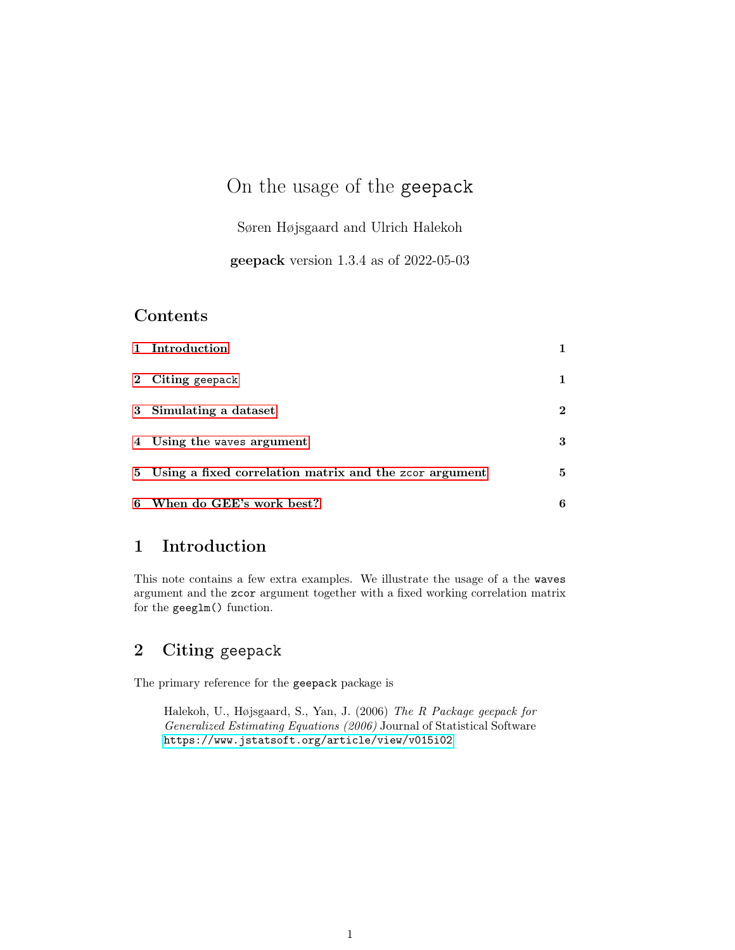# On the usage of the geepack

Søren Højsgaard and Ulrich Halekoh

geepack version 1.3.4 as of 2022-05-03

#### Contents

| 1 Introduction                                           |          |
|----------------------------------------------------------|----------|
| 2 Citing geepack                                         | 1.       |
| 3 Simulating a dataset                                   | $\bf{2}$ |
| 4 Using the waves argument                               | 3        |
| 5 Using a fixed correlation matrix and the zcor argument | 5        |
| 6 When do GEE's work best?                               | 6        |

#### <span id="page-0-0"></span>1 Introduction

This note contains a few extra examples. We illustrate the usage of a the waves argument and the zcor argument together with a fixed working correlation matrix for the geeglm() function.

### <span id="page-0-1"></span>2 Citing geepack

The primary reference for the geepack package is

Halekoh, U., Højsgaard, S., Yan, J. (2006) The R Package geepack for Generalized Estimating Equations (2006) Journal of Statistical Software <https://www.jstatsoft.org/article/view/v015i02>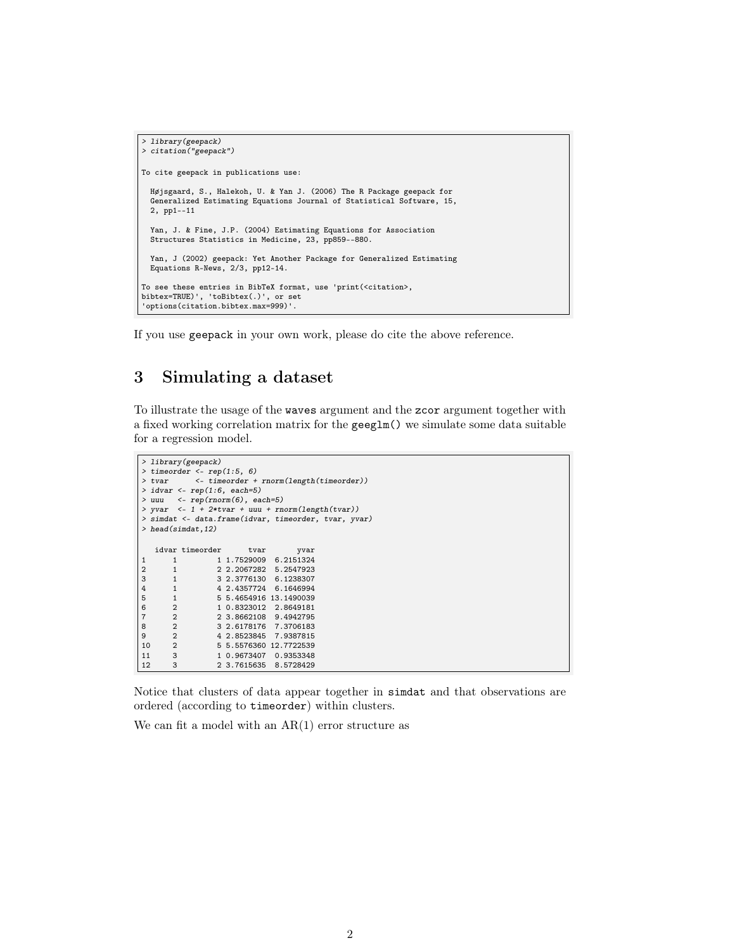```
> library(geepack)
> citation("geepack")
To cite geepack in publications use:
  Højsgaard, S., Halekoh, U. & Yan J. (2006) The R Package geepack for
  Generalized Estimating Equations Journal of Statistical Software, 15,
  2, pp1--11
  Yan, J. & Fine, J.P. (2004) Estimating Equations for Association
 Structures Statistics in Medicine, 23, pp859--880.
 Yan, J (2002) geepack: Yet Another Package for Generalized Estimating
 Equations R-News, 2/3, pp12-14.
To see these entries in BibTeX format, use 'print(<citation>,
bibtex=TRUE)', 'toBibtex(.)', or set
'options(citation.bibtex.max=999)'.
```
If you use geepack in your own work, please do cite the above reference.

### <span id="page-1-0"></span>3 Simulating a dataset

To illustrate the usage of the waves argument and the zcor argument together with a fixed working correlation matrix for the geeglm() we simulate some data suitable for a regression model.

```
> library(geepack)
> timeorder <- rep(1:5, 6)<br>> tvar <- timeorder +
               > tvar <- timeorder + rnorm(length(timeorder))
> idvar \leq rep(1:6, each=5)
> uuu <- rep(rnorm(6), each=5)
> yvar \leq 1 + 2*tvar + uuu + rnorm(length(tvar))
> simdat <- data.frame(idvar, timeorder, tvar, yvar)
> head(simdat,12)
    idvar timeorder tvar yvar yvar 1 1.7529009 6.2151324
\begin{array}{ccccccccc}\n 1 & 1 & 1.7529009 & 6.2151324 \\
 2 & 1 & 2.2067282 & 5.2547923\n \end{array}2 1 2 2.2067282 5.2547923
\begin{array}{cccccc} 3 & 1 & 3 & 2.3776130 & 6.1238307 \\ 4 & 1 & 4 & 2.4357724 & 6.1646994 \end{array}4 1 4 2.4357724 6.1646994<br>5 1 5 5.4654916 13.1490039
5 1 5 5.4654916 13.1490039
6 2 1 0.8323012 2.8649181
7 2 2 3.8662108 9.4942795
8 2 3 2.6178176 7.3706183<br>9 2 4 2.8523845 7.9387815
9 2 4 2.8523845 7.9387815<br>10 2 5 5.5576360 12.7722539
10 2 5 5.5576360 12.7722539<br>11 3 1 0.9673407 0.9353348
11 3 1 0.9673407 0.9353348<br>12 3 2 3.7615635 8.5728429
                      12 3 2 3.7615635 8.5728429
```
Notice that clusters of data appear together in simdat and that observations are ordered (according to timeorder) within clusters.

We can fit a model with an  $AR(1)$  error structure as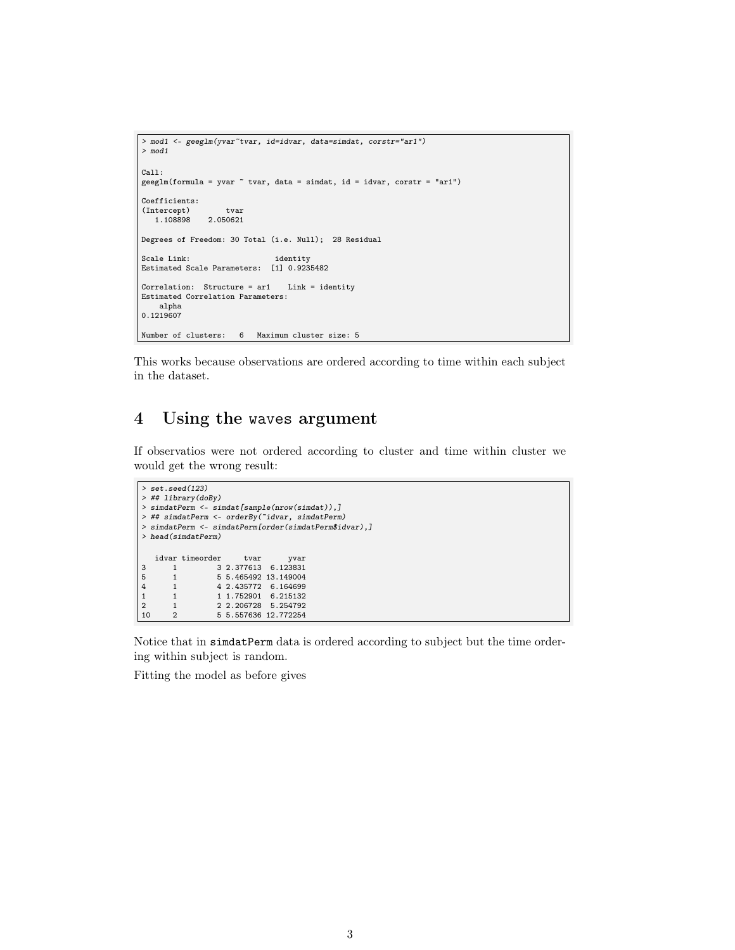```
> mod1 <- geeglm(yvar~tvar, id=idvar, data=simdat, corstr="ar1")
> mod1
Call:
geeglm(formula = yvar ~ tvar, data = simdat, id = idvar, corstr = "ar1")
Coefficients:
(Intercept) tvar
   1.108898 2.050621
Degrees of Freedom: 30 Total (i.e. Null); 28 Residual
Scale Link: identity
Estimated Scale Parameters: [1] 0.9235482
Correlation: Structure = ar1 Link = identity
Estimated Correlation Parameters:
   alpha
0.1219607
Number of clusters: 6 Maximum cluster size: 5
```
This works because observations are ordered according to time within each subject in the dataset.

### <span id="page-2-0"></span>4 Using the waves argument

If observatios were not ordered according to cluster and time within cluster we would get the wrong result:

```
> set.seed(123)
> ## library(doBy)
> simdatPerm <- simdat[sample(nrow(simdat)),]
> ## simdatPerm <- orderBy(~idvar, simdatPerm)
> simdatPerm <- simdatPerm[order(simdatPerm$idvar),]
> head(simdatPerm)
    idvar timeorder tvar vvar
3 1 3 2.377613 6.123831<br>5 1 5 5.465492 13.149004
5 1 5 5.465492 13.149004<br>4 1 4 2.435772 6.164699
\begin{array}{cccccc} 4 & 1 & 4 & 2.435772 & 6.164699 \\ 1 & 1 & 1 & 1.752901 & 6.215132 \end{array}\begin{array}{ccccccccc}\n1 & 1 & 1.752901 & 6.215132 \\
2 & 1 & 2 & 2.206728 & 5.254792\n\end{array}2 1 2 2.206728 5.254792<br>10 2 5 5.557636 12.772254
                       10 2 5 5.557636 12.772254
```
Notice that in simdatPerm data is ordered according to subject but the time ordering within subject is random.

Fitting the model as before gives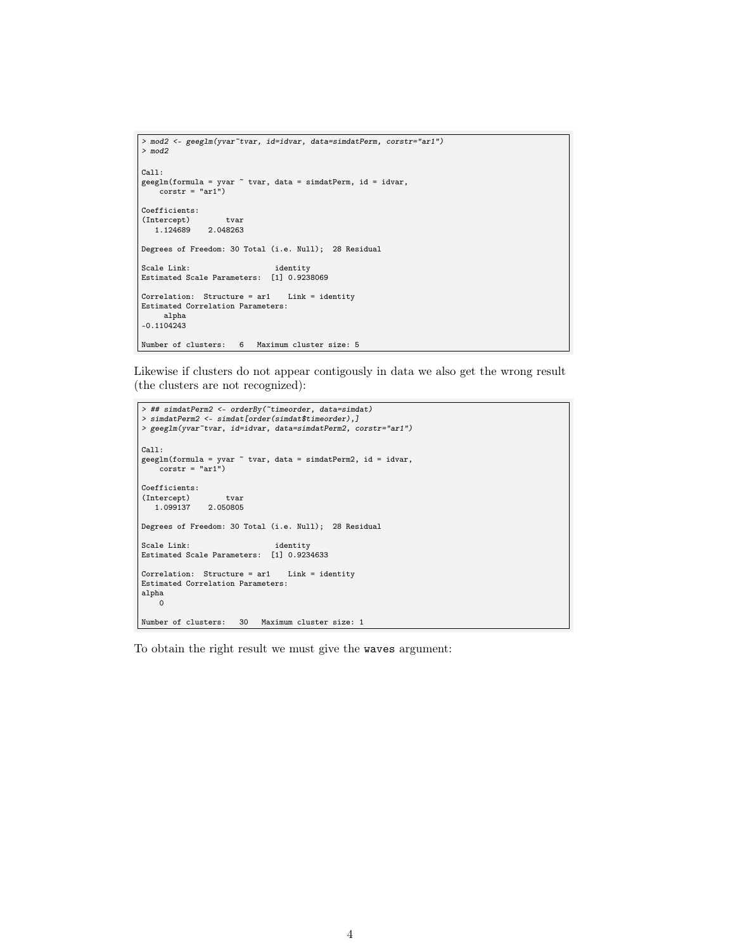```
> mod2 <- geeglm(yvar~tvar, id=idvar, data=simdatPerm, corstr="ar1")
> mod2
Call:
geeglm(formula = yvar ~ tvar, data = simdatPerm, id = idvar,
    corr = "ar1")Coefficients:
(Intercept) tvar
1.124689 2.048263
Degrees of Freedom: 30 Total (i.e. Null); 28 Residual
Scale Link: identity
Estimated Scale Parameters: [1] 0.9238069
Correlation: Structure = ar1 Link = identity
Estimated Correlation Parameters:
    alpha
-0.1104243
Number of clusters: 6 Maximum cluster size: 5
```
Likewise if clusters do not appear contigously in data we also get the wrong result (the clusters are not recognized):

```
> ## simdatPerm2 <- orderBy(~timeorder, data=simdat)
> simdatPerm2 <- simdat[order(simdat$timeorder),]
> geeglm(yvar~tvar, id=idvar, data=simdatPerm2, corstr="ar1")
Call:
geeglm(formula = yvar ~ tvar, data = simdatPerm2, id = idvar,
corstr = "ar1")
Coefficients:
(Intercept) tvar<br>1.099137 2.050805
              2.050805
Degrees of Freedom: 30 Total (i.e. Null); 28 Residual
Scale Link: identity
Estimated Scale Parameters: [1] 0.9234633
Correlation: Structure = ar1 Link = identity
Estimated Correlation Parameters:
alpha
    0
Number of clusters: 30 Maximum cluster size: 1
```
To obtain the right result we must give the waves argument: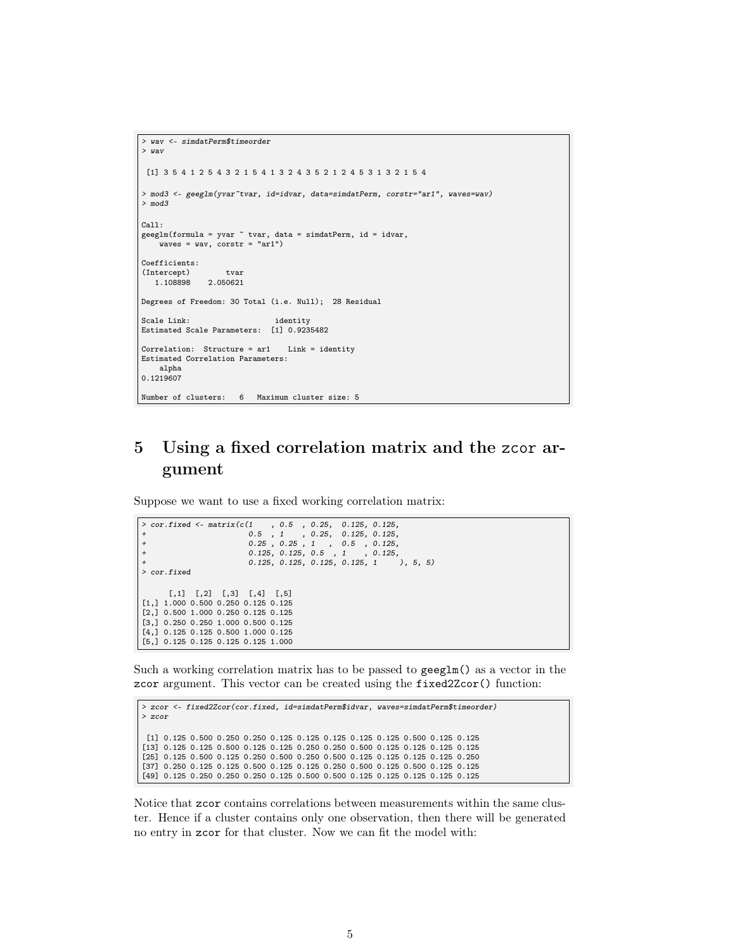```
> wav <- simdatPerm$timeorder
> wav
[1] 3 5 4 1 2 5 4 3 2 1 5 4 1 3 2 4 3 5 2 1 2 4 5 3 1 3 2 1 5 4
> mod3 <- geeglm(yvar~tvar, id=idvar, data=simdatPerm, corstr="ar1", waves=wav)
> mod3
Call:
geeglm(formula = yvar ~ tvar, data = simdatPerm, id = idvar,
   \frac{1}{x} waves = wav, corstr = "ar1")
Coefficients:
(Intercept) tvar
  1.108898 2.050621
Degrees of Freedom: 30 Total (i.e. Null); 28 Residual
Scale Link: identity
Estimated Scale Parameters: [1] 0.9235482
Correlation: Structure = ar1 Link = identity
Estimated Correlation Parameters:
   alpha
0.1219607
Number of clusters: 6 Maximum cluster size: 5
```
## <span id="page-4-0"></span>5 Using a fixed correlation matrix and the zcor argument

Suppose we want to use a fixed working correlation matrix:

```
> cor.fixed <- matrix(c(1, 0.5, 0.25, 0.125, 0.125,+<br>
0.5, 1, 0.25, 0.125, 0.125,<br>
0.25, 0.25, 0.5, 0.125, 0.125,<br>
0.125, 0.125, 0.125, 0.125, 1, 0.125, 1<br>
0.125, 0.125, 0.125, 0.125, 1<br>
0.5, 5)
> cor.fixed
       [,1] [,2] [,3] [,4] [,5]
[1,] 1.000 0.500 0.250 0.125 0.125
[2,] 0.500 1.000 0.250 0.125 0.125
[3,] 0.250 0.250 1.000 0.500 0.125
[4,] 0.125 0.125 0.500 1.000 0.125
[5,] 0.125 0.125 0.125 0.125 1.000
```
Such a working correlation matrix has to be passed to geeglm() as a vector in the zcor argument. This vector can be created using the fixed2Zcor() function:

```
> zcor <- fixed2Zcor(cor.fixed, id=simdatPerm$idvar, waves=simdatPerm$timeorder)
> zcor
[1] 0.125 0.500 0.250 0.250 0.125 0.125 0.125 0.125 0.125 0.500 0.125 0.125
[13] 0.125 0.125 0.500 0.125 0.125 0.250 0.250 0.500 0.125 0.125 0.125 0.125
[25] 0.125 0.500 0.125 0.250 0.500 0.250 0.500 0.125 0.125 0.125 0.125 0.250
[37] 0.250 0.125 0.125 0.500 0.125 0.125 0.250 0.500 0.125 0.500 0.125 0.125
[49] 0.125 0.250 0.250 0.250 0.125 0.500 0.500 0.125 0.125 0.125 0.125 0.125
```
Notice that zcor contains correlations between measurements within the same cluster. Hence if a cluster contains only one observation, then there will be generated no entry in zcor for that cluster. Now we can fit the model with: